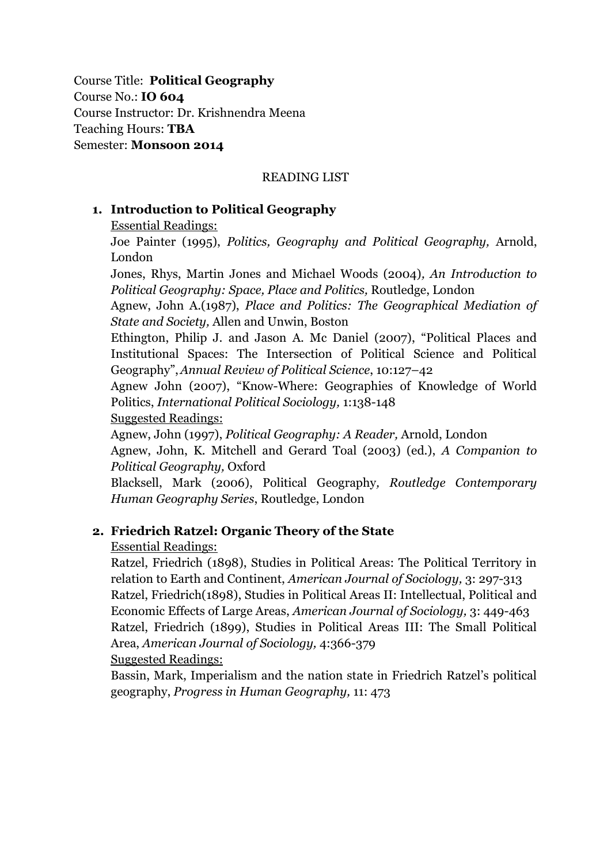Course Title: **Political Geography** Course No.: **IO 604** Course Instructor: Dr. Krishnendra Meena Teaching Hours: **TBA** Semester: **Monsoon 2014**

#### READING LIST

### **1. Introduction to Political Geography**

Essential Readings:

Joe Painter (1995), *Politics, Geography and Political Geography,* Arnold, London

Jones, Rhys, Martin Jones and Michael Woods (2004)*, An Introduction to Political Geography: Space, Place and Politics,* Routledge, London

Agnew, John A.(1987), *Place and Politics: The Geographical Mediation of State and Society,* Allen and Unwin, Boston

Ethington, Philip J. and Jason A. Mc Daniel (2007), "Political Places and Institutional Spaces: The Intersection of Political Science and Political Geography",*Annual Review of Political Science*, 10:127–42

Agnew John (2007), "Know-Where: Geographies of Knowledge of World Politics, *International Political Sociology,* 1:138-148

Suggested Readings:

Agnew, John (1997), *Political Geography: A Reader,* Arnold, London Agnew, John, K. Mitchell and Gerard Toal (2003) (ed.), *A Companion to Political Geography,* Oxford

Blacksell, Mark (2006), Political Geography*, Routledge Contemporary Human Geography Series*, Routledge, London

### **2. Friedrich Ratzel: Organic Theory of the State**

Essential Readings:

Ratzel, Friedrich (1898), Studies in Political Areas: The Political Territory in relation to Earth and Continent, *American Journal of Sociology,* 3: 297-313 Ratzel, Friedrich(1898), Studies in Political Areas II: Intellectual, Political and Economic Effects of Large Areas, *American Journal of Sociology,* 3: 449-463 Ratzel, Friedrich (1899), Studies in Political Areas III: The Small Political Area, *American Journal of Sociology,* 4:366-379 Suggested Readings:

Bassin, Mark, Imperialism and the nation state in Friedrich Ratzel's political geography, *Progress in Human Geography,* 11: 473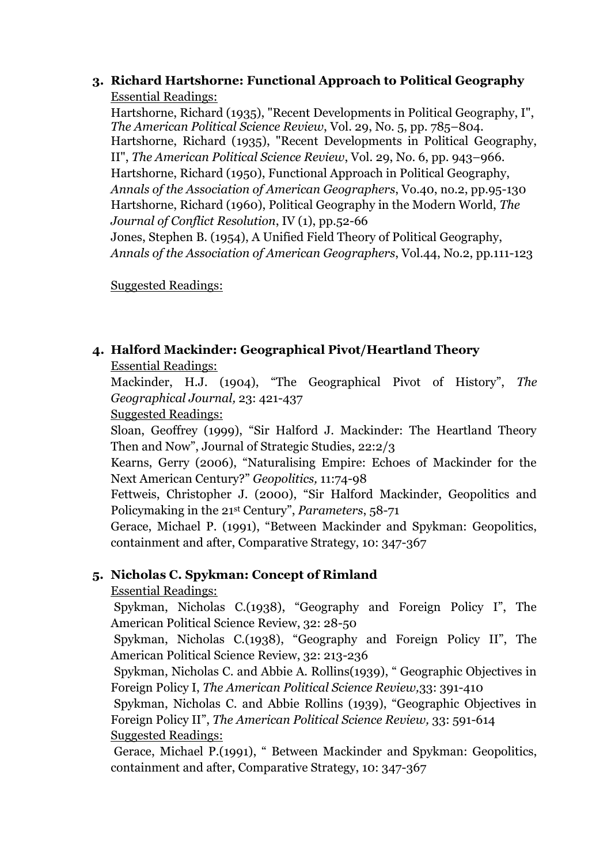### **3. Richard Hartshorne: Functional Approach to Political Geography** Essential Readings:

Hartshorne, Richard (1935), "Recent Developments in Political Geography, I", *The American Political Science Review*, Vol. 29, No. 5, pp. 785–804. Hartshorne, Richard (1935), "Recent Developments in Political Geography, II", *The American Political Science Review*, Vol. 29, No. 6, pp. 943–966. Hartshorne, Richard (1950), Functional Approach in Political Geography, *Annals of the Association of American Geographers*, Vo.40, no.2, pp.95-130 Hartshorne, Richard (1960), Political Geography in the Modern World, *The Journal of Conflict Resolution*, IV (1), pp.52-66 Jones, Stephen B. (1954), A Unified Field Theory of Political Geography, *Annals of the Association of American Geographers*, Vol.44, No.2, pp.111-123

Suggested Readings:

# **4. Halford Mackinder: Geographical Pivot/Heartland Theory** Essential Readings:

Mackinder, H.J. (1904), "The Geographical Pivot of History", *The Geographical Journal,* 23: 421-437

Suggested Readings:

Sloan, Geoffrey (1999), "Sir Halford J. Mackinder: The Heartland Theory Then and Now", Journal of Strategic Studies, 22:2/3

Kearns, Gerry (2006), "Naturalising Empire: Echoes of Mackinder for the Next American Century?" *Geopolitics,* 11:74-98

Fettweis, Christopher J. (2000), "Sir Halford Mackinder, Geopolitics and Policymaking in the 21st Century", *Parameters*, 58-71

Gerace, Michael P. (1991), "Between Mackinder and Spykman: Geopolitics, containment and after, Comparative Strategy, 10: 347-367

# **5. Nicholas C. Spykman: Concept of Rimland**

# Essential Readings:

Spykman, Nicholas C.(1938), "Geography and Foreign Policy I", The American Political Science Review, 32: 28-50

Spykman, Nicholas C.(1938), "Geography and Foreign Policy II", The American Political Science Review, 32: 213-236

Spykman, Nicholas C. and Abbie A. Rollins(1939), " Geographic Objectives in Foreign Policy I, *The American Political Science Review,*33: 391-410

Spykman, Nicholas C. and Abbie Rollins (1939), "Geographic Objectives in Foreign Policy II", *The American Political Science Review,* 33: 591-614 Suggested Readings:

Gerace, Michael P.(1991), " Between Mackinder and Spykman: Geopolitics, containment and after, Comparative Strategy, 10: 347-367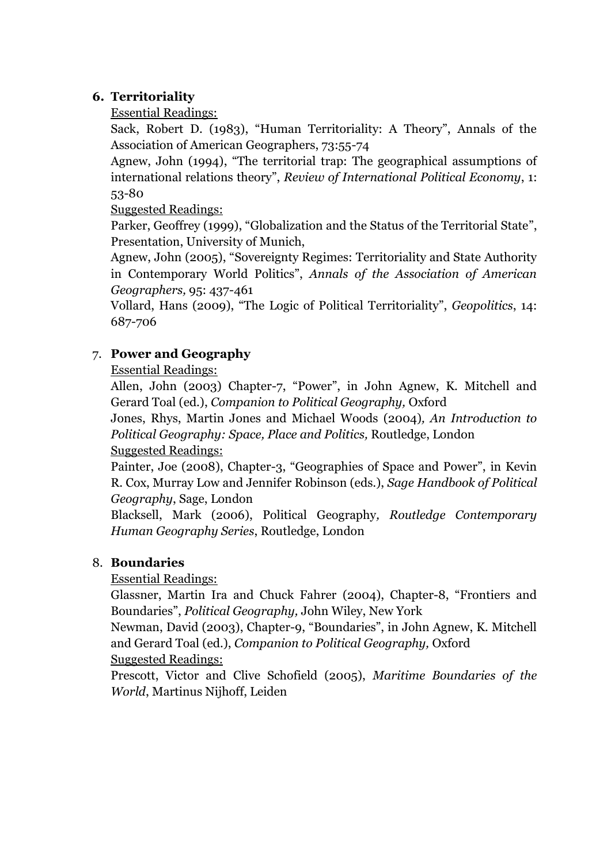## **6. Territoriality**

Essential Readings:

Sack, Robert D. (1983), "Human Territoriality: A Theory", Annals of the Association of American Geographers, 73:55-74

Agnew, John (1994), "The territorial trap: The geographical assumptions of international relations theory", *Review of International Political Economy*, 1: 53-80

Suggested Readings:

Parker, Geoffrey (1999), "Globalization and the Status of the Territorial State", Presentation, University of Munich,

Agnew, John (2005), "Sovereignty Regimes: Territoriality and State Authority in Contemporary World Politics", *Annals of the Association of American Geographers,* 95: 437-461

Vollard, Hans (2009), "The Logic of Political Territoriality", *Geopolitics*, 14: 687-706

# 7. **Power and Geography**

Essential Readings:

Allen, John (2003) Chapter-7, "Power", in John Agnew, K. Mitchell and Gerard Toal (ed.), *Companion to Political Geography,* Oxford

Jones, Rhys, Martin Jones and Michael Woods (2004)*, An Introduction to Political Geography: Space, Place and Politics,* Routledge, London Suggested Readings:

Painter, Joe (2008), Chapter-3, "Geographies of Space and Power", in Kevin R. Cox, Murray Low and Jennifer Robinson (eds.), *Sage Handbook of Political Geography*, Sage, London

Blacksell, Mark (2006), Political Geography*, Routledge Contemporary Human Geography Series*, Routledge, London

# 8. **Boundaries**

Essential Readings:

Glassner, Martin Ira and Chuck Fahrer (2004), Chapter-8, "Frontiers and Boundaries", *Political Geography,* John Wiley, New York

Newman, David (2003), Chapter-9, "Boundaries", in John Agnew, K. Mitchell and Gerard Toal (ed.), *Companion to Political Geography,* Oxford

Suggested Readings:

Prescott, Victor and Clive Schofield (2005), *Maritime Boundaries of the World*, Martinus Nijhoff, Leiden